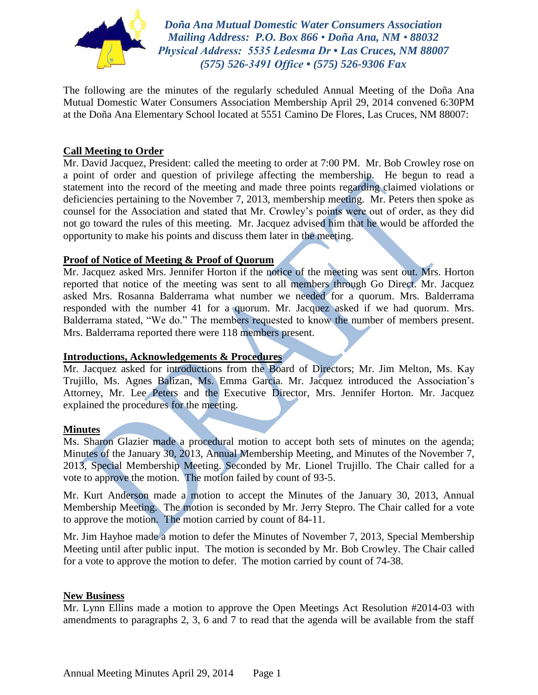

*Doña Ana Mutual Domestic Water Consumers Association Mailing Address: P.O. Box 866 • Doña Ana, NM • 88032 Physical Address: 5535 Ledesma Dr • Las Cruces, NM 88007 (575) 526-3491 Office • (575) 526-9306 Fax*

The following are the minutes of the regularly scheduled Annual Meeting of the Doña Ana Mutual Domestic Water Consumers Association Membership April 29, 2014 convened 6:30PM at the Doña Ana Elementary School located at 5551 Camino De Flores, Las Cruces, NM 88007:

# **Call Meeting to Order**

Mr. David Jacquez, President: called the meeting to order at 7:00 PM. Mr. Bob Crowley rose on a point of order and question of privilege affecting the membership. He begun to read a statement into the record of the meeting and made three points regarding claimed violations or deficiencies pertaining to the November 7, 2013, membership meeting. Mr. Peters then spoke as counsel for the Association and stated that Mr. Crowley's points were out of order, as they did not go toward the rules of this meeting. Mr. Jacquez advised him that he would be afforded the opportunity to make his points and discuss them later in the meeting.

# **Proof of Notice of Meeting & Proof of Quorum**

Mr. Jacquez asked Mrs. Jennifer Horton if the notice of the meeting was sent out. Mrs. Horton reported that notice of the meeting was sent to all members through Go Direct. Mr. Jacquez asked Mrs. Rosanna Balderrama what number we needed for a quorum. Mrs. Balderrama responded with the number 41 for a quorum. Mr. Jacquez asked if we had quorum. Mrs. Balderrama stated, "We do." The members requested to know the number of members present. Mrs. Balderrama reported there were 118 members present.

### **Introductions, Acknowledgements & Procedures**

Mr. Jacquez asked for introductions from the Board of Directors; Mr. Jim Melton, Ms. Kay Trujillo, Ms. Agnes Balizan, Ms. Emma Garcia. Mr. Jacquez introduced the Association's Attorney, Mr. Lee Peters and the Executive Director, Mrs. Jennifer Horton. Mr. Jacquez explained the procedures for the meeting.

### **Minutes**

Ms. Sharon Glazier made a procedural motion to accept both sets of minutes on the agenda; Minutes of the January 30, 2013, Annual Membership Meeting, and Minutes of the November 7, 2013, Special Membership Meeting. Seconded by Mr. Lionel Trujillo. The Chair called for a vote to approve the motion. The motion failed by count of 93-5.

Mr. Kurt Anderson made a motion to accept the Minutes of the January 30, 2013, Annual Membership Meeting. The motion is seconded by Mr. Jerry Stepro. The Chair called for a vote to approve the motion. The motion carried by count of 84-11.

Mr. Jim Hayhoe made a motion to defer the Minutes of November 7, 2013, Special Membership Meeting until after public input. The motion is seconded by Mr. Bob Crowley. The Chair called for a vote to approve the motion to defer. The motion carried by count of 74-38.

### **New Business**

Mr. Lynn Ellins made a motion to approve the Open Meetings Act Resolution #2014-03 with amendments to paragraphs 2, 3, 6 and 7 to read that the agenda will be available from the staff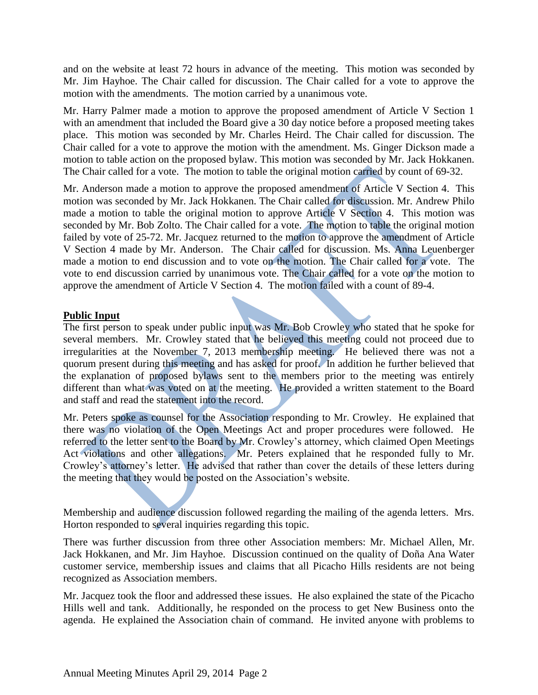and on the website at least 72 hours in advance of the meeting. This motion was seconded by Mr. Jim Hayhoe. The Chair called for discussion. The Chair called for a vote to approve the motion with the amendments. The motion carried by a unanimous vote.

Mr. Harry Palmer made a motion to approve the proposed amendment of Article V Section 1 with an amendment that included the Board give a 30 day notice before a proposed meeting takes place. This motion was seconded by Mr. Charles Heird. The Chair called for discussion. The Chair called for a vote to approve the motion with the amendment. Ms. Ginger Dickson made a motion to table action on the proposed bylaw. This motion was seconded by Mr. Jack Hokkanen. The Chair called for a vote. The motion to table the original motion carried by count of 69-32.

Mr. Anderson made a motion to approve the proposed amendment of Article V Section 4. This motion was seconded by Mr. Jack Hokkanen. The Chair called for discussion. Mr. Andrew Philo made a motion to table the original motion to approve Article V Section 4. This motion was seconded by Mr. Bob Zolto. The Chair called for a vote. The motion to table the original motion failed by vote of 25-72. Mr. Jacquez returned to the motion to approve the amendment of Article V Section 4 made by Mr. Anderson. The Chair called for discussion. Ms. Anna Leuenberger made a motion to end discussion and to vote on the motion. The Chair called for a vote. The vote to end discussion carried by unanimous vote. The Chair called for a vote on the motion to approve the amendment of Article V Section 4. The motion failed with a count of 89-4.

# **Public Input**

The first person to speak under public input was Mr. Bob Crowley who stated that he spoke for several members. Mr. Crowley stated that he believed this meeting could not proceed due to irregularities at the November 7, 2013 membership meeting. He believed there was not a quorum present during this meeting and has asked for proof. In addition he further believed that the explanation of proposed bylaws sent to the members prior to the meeting was entirely different than what was voted on at the meeting. He provided a written statement to the Board and staff and read the statement into the record.

Mr. Peters spoke as counsel for the Association responding to Mr. Crowley. He explained that there was no violation of the Open Meetings Act and proper procedures were followed. He referred to the letter sent to the Board by Mr. Crowley's attorney, which claimed Open Meetings Act violations and other allegations. Mr. Peters explained that he responded fully to Mr. Crowley's attorney's letter. He advised that rather than cover the details of these letters during the meeting that they would be posted on the Association's website.

Membership and audience discussion followed regarding the mailing of the agenda letters. Mrs. Horton responded to several inquiries regarding this topic.

There was further discussion from three other Association members: Mr. Michael Allen, Mr. Jack Hokkanen, and Mr. Jim Hayhoe. Discussion continued on the quality of Doña Ana Water customer service, membership issues and claims that all Picacho Hills residents are not being recognized as Association members.

Mr. Jacquez took the floor and addressed these issues. He also explained the state of the Picacho Hills well and tank. Additionally, he responded on the process to get New Business onto the agenda. He explained the Association chain of command. He invited anyone with problems to